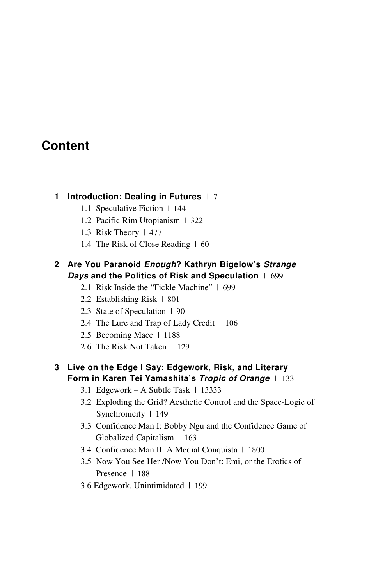# **Content**

#### **1 Introduction: Dealing in Futures** |7

- 1.1 Speculative Fiction | 144
- 1.2 Pacific Rim Utopianism | 322
- 1.3 Risk Theory | 477
- 1.4 The Risk of Close Reading | 60

### **2 Are You Paranoid** *Enough***? Kathryn Bigelow's** *Strange Days* **and the Politics of Risk and Speculation** |699

- 2.1 Risk Inside the "Fickle Machine" | 699
- 2.2 Establishing Risk | 801
- 2.3 State of Speculation | 90
- 2.4 The Lure and Trap of Lady Credit | 106
- 2.5 Becoming Mace | 1188
- 2.6 The Risk Not Taken | 129

#### **3 Live on the Edge I Say: Edgework, Risk, and Literary Form in Karen Tei Yamashita's** *Tropic of Orange*|133

- 3.1 Edgework A Subtle Task | 13333
- 3.2 Exploding the Grid? Aesthetic Control and the Space-Logic of Synchronicity | 149
- 3.3 Confidence Man I: Bobby Ngu and the Confidence Game of Globalized Capitalism | 163
- 3.4 Confidence Man II: A Medial Conquista | 1800
- 3.5 Now You See Her /Now You Don't: Emi, or the Erotics of Presence | 188
- 3.6 Edgework, Unintimidated | 199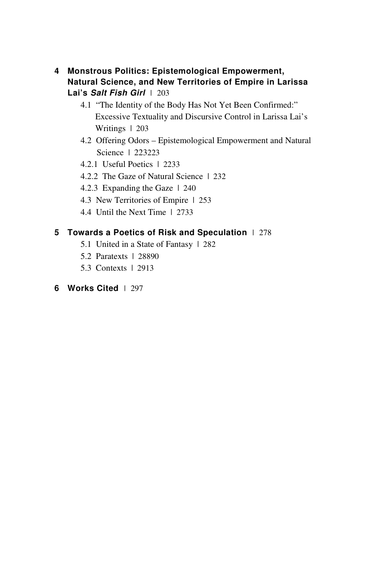- **4 Monstrous Politics: Epistemological Empowerment, Natural Science, and New Territories of Empire in Larissa Lai's** *Salt Fish Girl*|203
	- 4.1 "The Identity of the Body Has Not Yet Been Confirmed:" Excessive Textuality and Discursive Control in Larissa Lai's Writings | 203
	- 4.2 Offering Odors Epistemological Empowerment and Natural Science | 223223
	- 4.2.1 Useful Poetics | 2233
	- 4.2.2 The Gaze of Natural Science | 232
	- 4.2.3 Expanding the Gaze | 240
	- 4.3 New Territories of Empire | 253
	- 4.4 Until the Next Time | 2733

### **5 Towards a Poetics of Risk and Speculation** |278

- 5.1 United in a State of Fantasy | 282
- 5.2 Paratexts | 28890
- 5.3 Contexts | 2913
- **6 Works Cited** |297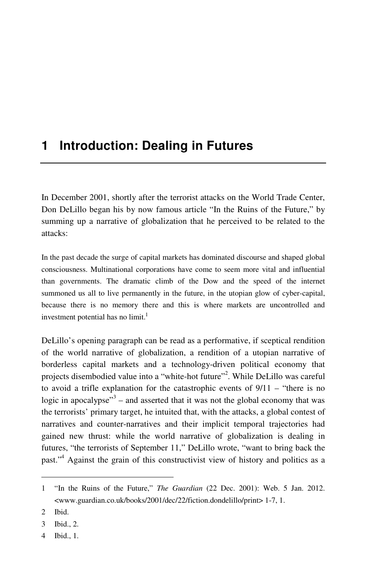# **1 Introduction: Dealing in Futures**

In December 2001, shortly after the terrorist attacks on the World Trade Center, Don DeLillo began his by now famous article "In the Ruins of the Future," by summing up a narrative of globalization that he perceived to be related to the attacks:

In the past decade the surge of capital markets has dominated discourse and shaped global consciousness. Multinational corporations have come to seem more vital and influential than governments. The dramatic climb of the Dow and the speed of the internet summoned us all to live permanently in the future, in the utopian glow of cyber-capital, because there is no memory there and this is where markets are uncontrolled and investment potential has no limit.<sup>1</sup>

DeLillo's opening paragraph can be read as a performative, if sceptical rendition of the world narrative of globalization, a rendition of a utopian narrative of borderless capital markets and a technology-driven political economy that projects disembodied value into a "white-hot future"<sup>2</sup>. While DeLillo was careful to avoid a trifle explanation for the catastrophic events of 9/11 – "there is no logic in apocalypse<sup> $3$ </sup> – and asserted that it was not the global economy that was the terrorists' primary target, he intuited that, with the attacks, a global contest of narratives and counter-narratives and their implicit temporal trajectories had gained new thrust: while the world narrative of globalization is dealing in futures, "the terrorists of September 11," DeLillo wrote, "want to bring back the past."<sup>4</sup> Against the grain of this constructivist view of history and politics as a

 $\overline{a}$ 

4 Ibid., 1.

<sup>1 &</sup>quot;In the Ruins of the Future," *The Guardian* (22 Dec. 2001): Web. 5 Jan. 2012. <www.guardian.co.uk/books/2001/dec/22/fiction.dondelillo/print> 1-7, 1.

<sup>2</sup> Ibid.

<sup>3</sup> Ibid., 2.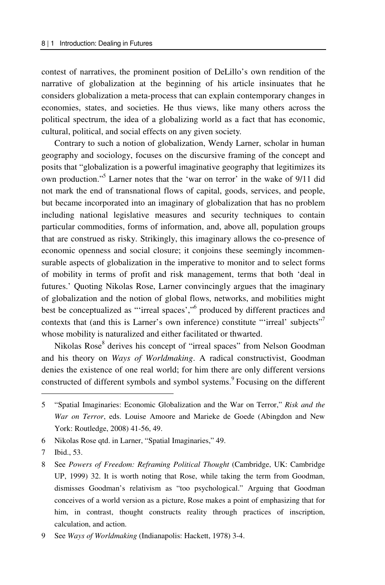contest of narratives, the prominent position of DeLillo's own rendition of the narrative of globalization at the beginning of his article insinuates that he considers globalization a meta-process that can explain contemporary changes in economies, states, and societies. He thus views, like many others across the political spectrum, the idea of a globalizing world as a fact that has economic, cultural, political, and social effects on any given society.

Contrary to such a notion of globalization, Wendy Larner, scholar in human geography and sociology, focuses on the discursive framing of the concept and posits that "globalization is a powerful imaginative geography that legitimizes its own production."<sup>5</sup> Larner notes that the 'war on terror' in the wake of 9/11 did not mark the end of transnational flows of capital, goods, services, and people, but became incorporated into an imaginary of globalization that has no problem including national legislative measures and security techniques to contain particular commodities, forms of information, and, above all, population groups that are construed as risky. Strikingly, this imaginary allows the co-presence of economic openness and social closure; it conjoins these seemingly incommensurable aspects of globalization in the imperative to monitor and to select forms of mobility in terms of profit and risk management, terms that both 'deal in futures.' Quoting Nikolas Rose, Larner convincingly argues that the imaginary of globalization and the notion of global flows, networks, and mobilities might best be conceptualized as "'irreal spaces',"6 produced by different practices and contexts that (and this is Larner's own inference) constitute "'irreal' subjects"<sup>7</sup> whose mobility is naturalized and either facilitated or thwarted.

Nikolas Rose<sup>8</sup> derives his concept of "irreal spaces" from Nelson Goodman and his theory on *Ways of Worldmaking*. A radical constructivist, Goodman denies the existence of one real world; for him there are only different versions constructed of different symbols and symbol systems.<sup>9</sup> Focusing on the different

<sup>5 &</sup>quot;Spatial Imaginaries: Economic Globalization and the War on Terror," *Risk and the War on Terror*, eds. Louise Amoore and Marieke de Goede (Abingdon and New York: Routledge, 2008) 41-56, 49.

<sup>6</sup> Nikolas Rose qtd. in Larner, "Spatial Imaginaries," 49.

<sup>7</sup> Ibid., 53.

<sup>8</sup> See *Powers of Freedom: Reframing Political Thought* (Cambridge, UK: Cambridge UP, 1999) 32. It is worth noting that Rose, while taking the term from Goodman, dismisses Goodman's relativism as "too psychological." Arguing that Goodman conceives of a world version as a picture, Rose makes a point of emphasizing that for him, in contrast, thought constructs reality through practices of inscription, calculation, and action.

<sup>9</sup> See *Ways of Worldmaking* (Indianapolis: Hackett, 1978) 3-4.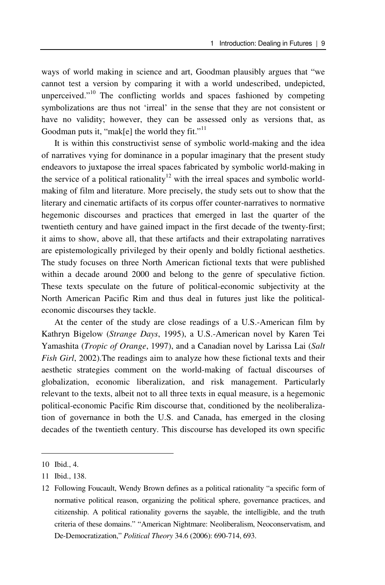ways of world making in science and art, Goodman plausibly argues that "we cannot test a version by comparing it with a world undescribed, undepicted, unperceived."<sup>10</sup> The conflicting worlds and spaces fashioned by competing symbolizations are thus not 'irreal' in the sense that they are not consistent or have no validity; however, they can be assessed only as versions that, as Goodman puts it, "mak[e] the world they fit." $11$ 

It is within this constructivist sense of symbolic world-making and the idea of narratives vying for dominance in a popular imaginary that the present study endeavors to juxtapose the irreal spaces fabricated by symbolic world-making in the service of a political rationality<sup>12</sup> with the irreal spaces and symbolic worldmaking of film and literature. More precisely, the study sets out to show that the literary and cinematic artifacts of its corpus offer counter-narratives to normative hegemonic discourses and practices that emerged in last the quarter of the twentieth century and have gained impact in the first decade of the twenty-first; it aims to show, above all, that these artifacts and their extrapolating narratives are epistemologically privileged by their openly and boldly fictional aesthetics. The study focuses on three North American fictional texts that were published within a decade around 2000 and belong to the genre of speculative fiction. These texts speculate on the future of political-economic subjectivity at the North American Pacific Rim and thus deal in futures just like the politicaleconomic discourses they tackle.

At the center of the study are close readings of a U.S.-American film by Kathryn Bigelow (*Strange Days*, 1995), a U.S.-American novel by Karen Tei Yamashita (*Tropic of Orange*, 1997), and a Canadian novel by Larissa Lai (*Salt Fish Girl*, 2002).The readings aim to analyze how these fictional texts and their aesthetic strategies comment on the world-making of factual discourses of globalization, economic liberalization, and risk management. Particularly relevant to the texts, albeit not to all three texts in equal measure, is a hegemonic political-economic Pacific Rim discourse that, conditioned by the neoliberalization of governance in both the U.S. and Canada, has emerged in the closing decades of the twentieth century. This discourse has developed its own specific

<sup>10</sup> Ibid., 4.

<sup>11</sup> Ibid., 138.

<sup>12</sup> Following Foucault, Wendy Brown defines as a political rationality "a specific form of normative political reason, organizing the political sphere, governance practices, and citizenship. A political rationality governs the sayable, the intelligible, and the truth criteria of these domains." "American Nightmare: Neoliberalism, Neoconservatism, and De-Democratization," *Political Theory* 34.6 (2006): 690-714, 693.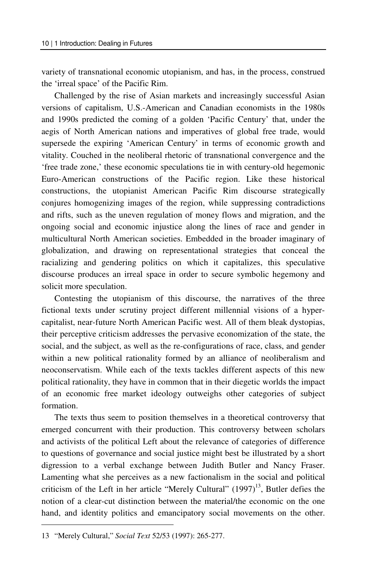variety of transnational economic utopianism, and has, in the process, construed the 'irreal space' of the Pacific Rim.

Challenged by the rise of Asian markets and increasingly successful Asian versions of capitalism, U.S.-American and Canadian economists in the 1980s and 1990s predicted the coming of a golden 'Pacific Century' that, under the aegis of North American nations and imperatives of global free trade, would supersede the expiring 'American Century' in terms of economic growth and vitality. Couched in the neoliberal rhetoric of transnational convergence and the 'free trade zone,' these economic speculations tie in with century-old hegemonic Euro-American constructions of the Pacific region. Like these historical constructions, the utopianist American Pacific Rim discourse strategically conjures homogenizing images of the region, while suppressing contradictions and rifts, such as the uneven regulation of money flows and migration, and the ongoing social and economic injustice along the lines of race and gender in multicultural North American societies. Embedded in the broader imaginary of globalization, and drawing on representational strategies that conceal the racializing and gendering politics on which it capitalizes, this speculative discourse produces an irreal space in order to secure symbolic hegemony and solicit more speculation.

Contesting the utopianism of this discourse, the narratives of the three fictional texts under scrutiny project different millennial visions of a hypercapitalist, near-future North American Pacific west. All of them bleak dystopias, their perceptive criticism addresses the pervasive economization of the state, the social, and the subject, as well as the re-configurations of race, class, and gender within a new political rationality formed by an alliance of neoliberalism and neoconservatism. While each of the texts tackles different aspects of this new political rationality, they have in common that in their diegetic worlds the impact of an economic free market ideology outweighs other categories of subject formation.

The texts thus seem to position themselves in a theoretical controversy that emerged concurrent with their production. This controversy between scholars and activists of the political Left about the relevance of categories of difference to questions of governance and social justice might best be illustrated by a short digression to a verbal exchange between Judith Butler and Nancy Fraser. Lamenting what she perceives as a new factionalism in the social and political criticism of the Left in her article "Merely Cultural"  $(1997)^{13}$ , Butler defies the notion of a clear-cut distinction between the material/the economic on the one hand, and identity politics and emancipatory social movements on the other.

<sup>13 &</sup>quot;Merely Cultural," *Social Text* 52/53 (1997): 265-277.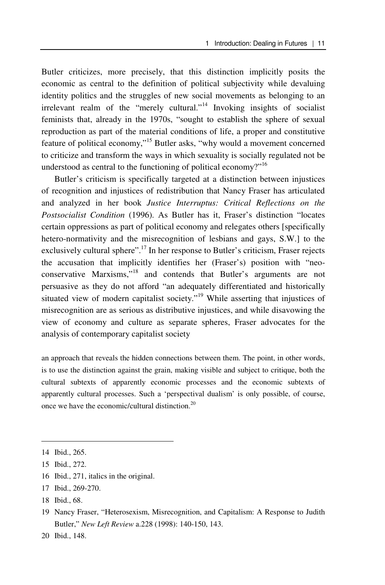Butler criticizes, more precisely, that this distinction implicitly posits the economic as central to the definition of political subjectivity while devaluing identity politics and the struggles of new social movements as belonging to an irrelevant realm of the "merely cultural."14 Invoking insights of socialist feminists that, already in the 1970s, "sought to establish the sphere of sexual reproduction as part of the material conditions of life, a proper and constitutive feature of political economy,"15 Butler asks, "why would a movement concerned to criticize and transform the ways in which sexuality is socially regulated not be understood as central to the functioning of political economy?"16

Butler's criticism is specifically targeted at a distinction between injustices of recognition and injustices of redistribution that Nancy Fraser has articulated and analyzed in her book *Justice Interruptus: Critical Reflections on the Postsocialist Condition* (1996). As Butler has it, Fraser's distinction "locates certain oppressions as part of political economy and relegates others [specifically hetero-normativity and the misrecognition of lesbians and gays, S.W.] to the exclusively cultural sphere".<sup>17</sup> In her response to Butler's criticism, Fraser rejects the accusation that implicitly identifies her (Fraser's) position with "neoconservative Marxisms,"18 and contends that Butler's arguments are not persuasive as they do not afford "an adequately differentiated and historically situated view of modern capitalist society."<sup>19</sup> While asserting that injustices of misrecognition are as serious as distributive injustices, and while disavowing the view of economy and culture as separate spheres, Fraser advocates for the analysis of contemporary capitalist society

an approach that reveals the hidden connections between them. The point, in other words, is to use the distinction against the grain, making visible and subject to critique, both the cultural subtexts of apparently economic processes and the economic subtexts of apparently cultural processes. Such a 'perspectival dualism' is only possible, of course, once we have the economic/cultural distinction.<sup>20</sup>

- 16 Ibid., 271, italics in the original.
- 17 Ibid., 269-270.
- 18 Ibid., 68.

<sup>14</sup> Ibid., 265.

<sup>15</sup> Ibid., 272.

<sup>19</sup> Nancy Fraser, "Heterosexism, Misrecognition, and Capitalism: A Response to Judith Butler," *New Left Review* a.228 (1998): 140-150, 143.

<sup>20</sup> Ibid., 148.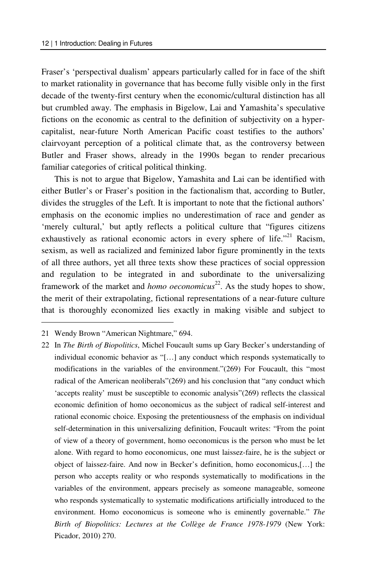Fraser's 'perspectival dualism' appears particularly called for in face of the shift to market rationality in governance that has become fully visible only in the first decade of the twenty-first century when the economic/cultural distinction has all but crumbled away. The emphasis in Bigelow, Lai and Yamashita's speculative fictions on the economic as central to the definition of subjectivity on a hypercapitalist, near-future North American Pacific coast testifies to the authors' clairvoyant perception of a political climate that, as the controversy between Butler and Fraser shows, already in the 1990s began to render precarious familiar categories of critical political thinking.

This is not to argue that Bigelow, Yamashita and Lai can be identified with either Butler's or Fraser's position in the factionalism that, according to Butler, divides the struggles of the Left. It is important to note that the fictional authors' emphasis on the economic implies no underestimation of race and gender as 'merely cultural,' but aptly reflects a political culture that "figures citizens exhaustively as rational economic actors in every sphere of life."<sup>21</sup> Racism, sexism, as well as racialized and feminized labor figure prominently in the texts of all three authors, yet all three texts show these practices of social oppression and regulation to be integrated in and subordinate to the universalizing framework of the market and *homo oeconomicus*<sup>22</sup>. As the study hopes to show, the merit of their extrapolating, fictional representations of a near-future culture that is thoroughly economized lies exactly in making visible and subject to

 $\overline{a}$ 

22 In *The Birth of Biopolitics*, Michel Foucault sums up Gary Becker's understanding of individual economic behavior as "[…] any conduct which responds systematically to modifications in the variables of the environment."(269) For Foucault, this "most radical of the American neoliberals"(269) and his conclusion that "any conduct which 'accepts reality' must be susceptible to economic analysis"(269) reflects the classical economic definition of homo oeconomicus as the subject of radical self-interest and rational economic choice. Exposing the pretentiousness of the emphasis on individual self-determination in this universalizing definition, Foucault writes: "From the point of view of a theory of government, homo oeconomicus is the person who must be let alone. With regard to homo eoconomicus, one must laissez-faire, he is the subject or object of laissez-faire. And now in Becker's definition, homo eoconomicus,[…] the person who accepts reality or who responds systematically to modifications in the variables of the environment, appears precisely as someone manageable, someone who responds systematically to systematic modifications artificially introduced to the environment. Homo eoconomicus is someone who is eminently governable." *The Birth of Biopolitics: Lectures at the Collège de France 1978-1979* (New York: Picador, 2010) 270.

<sup>21</sup> Wendy Brown "American Nightmare," 694.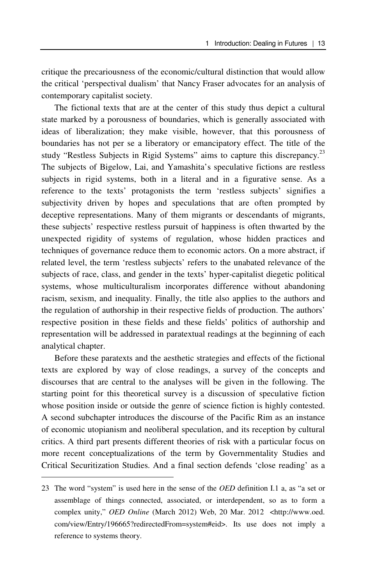critique the precariousness of the economic/cultural distinction that would allow the critical 'perspectival dualism' that Nancy Fraser advocates for an analysis of contemporary capitalist society.

The fictional texts that are at the center of this study thus depict a cultural state marked by a porousness of boundaries, which is generally associated with ideas of liberalization; they make visible, however, that this porousness of boundaries has not per se a liberatory or emancipatory effect. The title of the study "Restless Subjects in Rigid Systems" aims to capture this discrepancy.<sup>23</sup> The subjects of Bigelow, Lai, and Yamashita's speculative fictions are restless subjects in rigid systems, both in a literal and in a figurative sense. As a reference to the texts' protagonists the term 'restless subjects' signifies a subjectivity driven by hopes and speculations that are often prompted by deceptive representations. Many of them migrants or descendants of migrants, these subjects' respective restless pursuit of happiness is often thwarted by the unexpected rigidity of systems of regulation, whose hidden practices and techniques of governance reduce them to economic actors. On a more abstract, if related level, the term 'restless subjects' refers to the unabated relevance of the subjects of race, class, and gender in the texts' hyper-capitalist diegetic political systems, whose multiculturalism incorporates difference without abandoning racism, sexism, and inequality. Finally, the title also applies to the authors and the regulation of authorship in their respective fields of production. The authors' respective position in these fields and these fields' politics of authorship and representation will be addressed in paratextual readings at the beginning of each analytical chapter.

Before these paratexts and the aesthetic strategies and effects of the fictional texts are explored by way of close readings, a survey of the concepts and discourses that are central to the analyses will be given in the following. The starting point for this theoretical survey is a discussion of speculative fiction whose position inside or outside the genre of science fiction is highly contested. A second subchapter introduces the discourse of the Pacific Rim as an instance of economic utopianism and neoliberal speculation, and its reception by cultural critics. A third part presents different theories of risk with a particular focus on more recent conceptualizations of the term by Governmentality Studies and Critical Securitization Studies. And a final section defends 'close reading' as a

<sup>23</sup> The word "system" is used here in the sense of the *OED* definition I.1 a, as "a set or assemblage of things connected, associated, or interdependent, so as to form a complex unity," *OED Online* (March 2012) Web, 20 Mar. 2012 <http://www.oed. com/view/Entry/196665?redirectedFrom=system#eid>. Its use does not imply a reference to systems theory.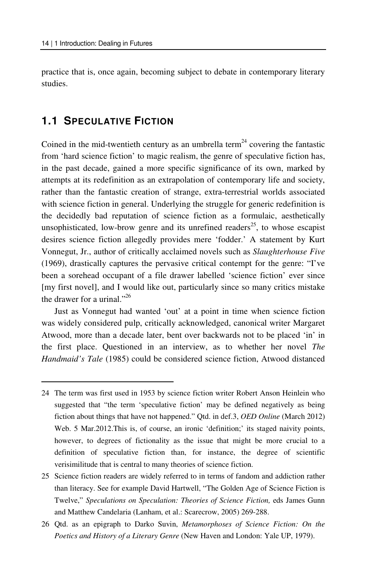practice that is, once again, becoming subject to debate in contemporary literary studies.

## **1.1 SPECULATIVE FICTION**

 $\overline{a}$ 

Coined in the mid-twentieth century as an umbrella term<sup>24</sup> covering the fantastic from 'hard science fiction' to magic realism, the genre of speculative fiction has, in the past decade, gained a more specific significance of its own, marked by attempts at its redefinition as an extrapolation of contemporary life and society, rather than the fantastic creation of strange, extra-terrestrial worlds associated with science fiction in general. Underlying the struggle for generic redefinition is the decidedly bad reputation of science fiction as a formulaic, aesthetically unsophisticated, low-brow genre and its unrefined readers<sup>25</sup>, to whose escapist desires science fiction allegedly provides mere 'fodder.' A statement by Kurt Vonnegut, Jr., author of critically acclaimed novels such as *Slaughterhouse Five* (1969), drastically captures the pervasive critical contempt for the genre: "I've been a sorehead occupant of a file drawer labelled 'science fiction' ever since [my first novel], and I would like out, particularly since so many critics mistake the drawer for a urinal." $^{26}$ 

Just as Vonnegut had wanted 'out' at a point in time when science fiction was widely considered pulp, critically acknowledged, canonical writer Margaret Atwood, more than a decade later, bent over backwards not to be placed 'in' in the first place. Questioned in an interview, as to whether her novel *The Handmaid's Tale* (1985) could be considered science fiction, Atwood distanced

26 Qtd. as an epigraph to Darko Suvin, *Metamorphoses of Science Fiction: On the Poetics and History of a Literary Genre* (New Haven and London: Yale UP, 1979).

<sup>24</sup> The term was first used in 1953 by science fiction writer Robert Anson Heinlein who suggested that "the term 'speculative fiction' may be defined negatively as being fiction about things that have not happened." Qtd. in def.3, *OED Online* (March 2012) Web. 5 Mar.2012. This is, of course, an ironic 'definition;' its staged naivity points, however, to degrees of fictionality as the issue that might be more crucial to a definition of speculative fiction than, for instance, the degree of scientific verisimilitude that is central to many theories of science fiction.

<sup>25</sup> Science fiction readers are widely referred to in terms of fandom and addiction rather than literacy. See for example David Hartwell, "The Golden Age of Science Fiction is Twelve," *Speculations on Speculation: Theories of Science Fiction,* eds James Gunn and Matthew Candelaria (Lanham, et al.: Scarecrow, 2005) 269-288.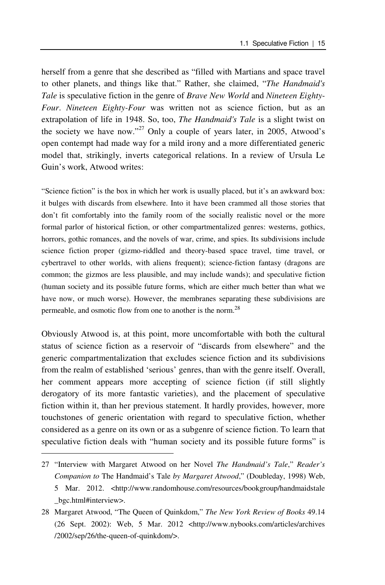herself from a genre that she described as "filled with Martians and space travel to other planets, and things like that." Rather, she claimed, "*The Handmaid's Tale* is speculative fiction in the genre of *Brave New World* and *Nineteen Eighty-Four*. *Nineteen Eighty-Four* was written not as science fiction, but as an extrapolation of life in 1948. So, too, *The Handmaid's Tale* is a slight twist on the society we have now."<sup>27</sup> Only a couple of years later, in 2005, Atwood's open contempt had made way for a mild irony and a more differentiated generic model that, strikingly, inverts categorical relations. In a review of Ursula Le Guin's work, Atwood writes:

"Science fiction" is the box in which her work is usually placed, but it's an awkward box: it bulges with discards from elsewhere. Into it have been crammed all those stories that don't fit comfortably into the family room of the socially realistic novel or the more formal parlor of historical fiction, or other compartmentalized genres: westerns, gothics, horrors, gothic romances, and the novels of war, crime, and spies. Its subdivisions include science fiction proper (gizmo-riddled and theory-based space travel, time travel, or cybertravel to other worlds, with aliens frequent); science-fiction fantasy (dragons are common; the gizmos are less plausible, and may include wands); and speculative fiction (human society and its possible future forms, which are either much better than what we have now, or much worse). However, the membranes separating these subdivisions are permeable, and osmotic flow from one to another is the norm.<sup>28</sup>

Obviously Atwood is, at this point, more uncomfortable with both the cultural status of science fiction as a reservoir of "discards from elsewhere" and the generic compartmentalization that excludes science fiction and its subdivisions from the realm of established 'serious' genres, than with the genre itself. Overall, her comment appears more accepting of science fiction (if still slightly derogatory of its more fantastic varieties), and the placement of speculative fiction within it, than her previous statement. It hardly provides, however, more touchstones of generic orientation with regard to speculative fiction, whether considered as a genre on its own or as a subgenre of science fiction. To learn that speculative fiction deals with "human society and its possible future forms" is

<sup>27 &</sup>quot;Interview with Margaret Atwood on her Novel *The Handmaid's Tale*," *Reader's Companion to* The Handmaid's Tale *by Margaret Atwood*," (Doubleday, 1998) Web, 5 Mar. 2012. <http://www.randomhouse.com/resources/bookgroup/handmaidstale \_bgc.html#interview>.

<sup>28</sup> Margaret Atwood, "The Queen of Quinkdom," *The New York Review of Books* 49.14 (26 Sept. 2002): Web, 5 Mar. 2012 <http://www.nybooks.com/articles/archives /2002/sep/26/the-queen-of-quinkdom/>.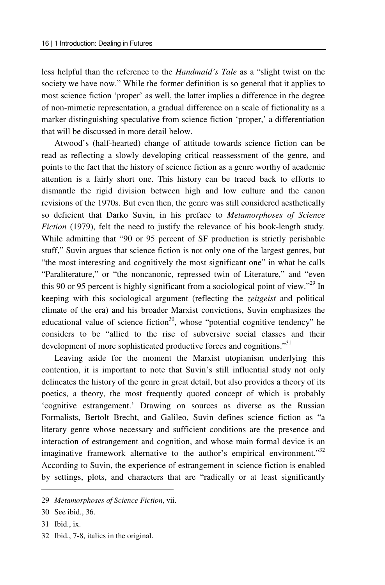less helpful than the reference to the *Handmaid's Tale* as a "slight twist on the society we have now." While the former definition is so general that it applies to most science fiction 'proper' as well, the latter implies a difference in the degree of non-mimetic representation, a gradual difference on a scale of fictionality as a marker distinguishing speculative from science fiction 'proper,' a differentiation that will be discussed in more detail below.

Atwood's (half-hearted) change of attitude towards science fiction can be read as reflecting a slowly developing critical reassessment of the genre, and points to the fact that the history of science fiction as a genre worthy of academic attention is a fairly short one. This history can be traced back to efforts to dismantle the rigid division between high and low culture and the canon revisions of the 1970s. But even then, the genre was still considered aesthetically so deficient that Darko Suvin, in his preface to *Metamorphoses of Science Fiction* (1979), felt the need to justify the relevance of his book-length study. While admitting that "90 or 95 percent of SF production is strictly perishable stuff," Suvin argues that science fiction is not only one of the largest genres, but "the most interesting and cognitively the most significant one" in what he calls "Paraliterature," or "the noncanonic, repressed twin of Literature," and "even this 90 or 95 percent is highly significant from a sociological point of view."29 In keeping with this sociological argument (reflecting the *zeitgeist* and political climate of the era) and his broader Marxist convictions, Suvin emphasizes the educational value of science fiction<sup>30</sup>, whose "potential cognitive tendency" he considers to be "allied to the rise of subversive social classes and their development of more sophisticated productive forces and cognitions."<sup>31</sup>

Leaving aside for the moment the Marxist utopianism underlying this contention, it is important to note that Suvin's still influential study not only delineates the history of the genre in great detail, but also provides a theory of its poetics, a theory, the most frequently quoted concept of which is probably 'cognitive estrangement.' Drawing on sources as diverse as the Russian Formalists, Bertolt Brecht, and Galileo, Suvin defines science fiction as "a literary genre whose necessary and sufficient conditions are the presence and interaction of estrangement and cognition, and whose main formal device is an imaginative framework alternative to the author's empirical environment."32 According to Suvin, the experience of estrangement in science fiction is enabled by settings, plots, and characters that are "radically or at least significantly

31 Ibid., ix.

 $\overline{a}$ 

32 Ibid., 7-8, italics in the original.

<sup>29</sup> *Metamorphoses of Science Fiction*, vii.

<sup>30</sup> See ibid., 36.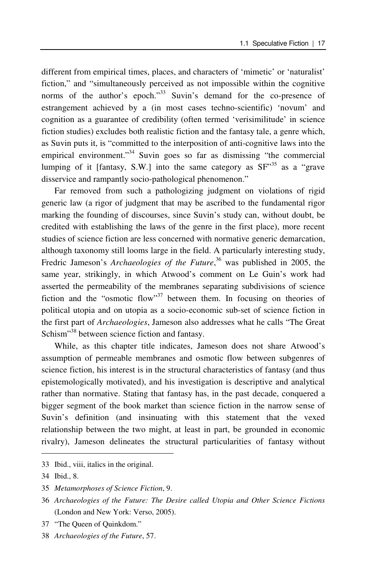different from empirical times, places, and characters of 'mimetic' or 'naturalist' fiction," and "simultaneously perceived as not impossible within the cognitive norms of the author's epoch."<sup>33</sup> Suvin's demand for the co-presence of estrangement achieved by a (in most cases techno-scientific) 'novum' and cognition as a guarantee of credibility (often termed 'verisimilitude' in science fiction studies) excludes both realistic fiction and the fantasy tale, a genre which, as Suvin puts it, is "committed to the interposition of anti-cognitive laws into the empirical environment."<sup>34</sup> Suvin goes so far as dismissing "the commercial lumping of it [fantasy, S.W.] into the same category as SF"35 as a "grave disservice and rampantly socio-pathological phenomenon."

Far removed from such a pathologizing judgment on violations of rigid generic law (a rigor of judgment that may be ascribed to the fundamental rigor marking the founding of discourses, since Suvin's study can, without doubt, be credited with establishing the laws of the genre in the first place), more recent studies of science fiction are less concerned with normative generic demarcation, although taxonomy still looms large in the field. A particularly interesting study, Fredric Jameson's *Archaeologies of the Future*,<sup>36</sup> was published in 2005, the same year, strikingly, in which Atwood's comment on Le Guin's work had asserted the permeability of the membranes separating subdivisions of science fiction and the "osmotic flow"<sup>37</sup> between them. In focusing on theories of political utopia and on utopia as a socio-economic sub-set of science fiction in the first part of *Archaeologies*, Jameson also addresses what he calls "The Great Schism"<sup>38</sup> between science fiction and fantasy.

While, as this chapter title indicates, Jameson does not share Atwood's assumption of permeable membranes and osmotic flow between subgenres of science fiction, his interest is in the structural characteristics of fantasy (and thus epistemologically motivated), and his investigation is descriptive and analytical rather than normative. Stating that fantasy has, in the past decade, conquered a bigger segment of the book market than science fiction in the narrow sense of Suvin's definition (and insinuating with this statement that the vexed relationship between the two might, at least in part, be grounded in economic rivalry), Jameson delineates the structural particularities of fantasy without

<sup>33</sup> Ibid., viii, italics in the original.

<sup>34</sup> Ibid., 8.

<sup>35</sup> *Metamorphoses of Science Fiction*, 9.

<sup>36</sup> *Archaeologies of the Future: The Desire called Utopia and Other Science Fictions* (London and New York: Verso, 2005).

<sup>37 &</sup>quot;The Queen of Quinkdom."

<sup>38</sup> *Archaeologies of the Future*, 57.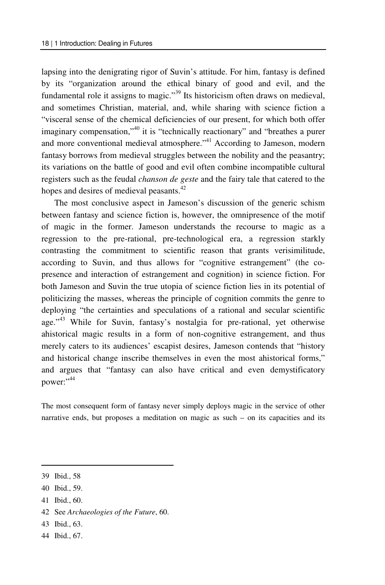lapsing into the denigrating rigor of Suvin's attitude. For him, fantasy is defined by its "organization around the ethical binary of good and evil, and the fundamental role it assigns to magic."<sup>39</sup> Its historicism often draws on medieval, and sometimes Christian, material, and, while sharing with science fiction a "visceral sense of the chemical deficiencies of our present, for which both offer imaginary compensation,"<sup>40</sup> it is "technically reactionary" and "breathes a purer and more conventional medieval atmosphere."<sup>41</sup> According to Jameson, modern fantasy borrows from medieval struggles between the nobility and the peasantry; its variations on the battle of good and evil often combine incompatible cultural registers such as the feudal *chanson de geste* and the fairy tale that catered to the hopes and desires of medieval peasants.<sup>42</sup>

The most conclusive aspect in Jameson's discussion of the generic schism between fantasy and science fiction is, however, the omnipresence of the motif of magic in the former. Jameson understands the recourse to magic as a regression to the pre-rational, pre-technological era, a regression starkly contrasting the commitment to scientific reason that grants verisimilitude, according to Suvin, and thus allows for "cognitive estrangement" (the copresence and interaction of estrangement and cognition) in science fiction. For both Jameson and Suvin the true utopia of science fiction lies in its potential of politicizing the masses, whereas the principle of cognition commits the genre to deploying "the certainties and speculations of a rational and secular scientific age."43 While for Suvin, fantasy's nostalgia for pre-rational, yet otherwise ahistorical magic results in a form of non-cognitive estrangement, and thus merely caters to its audiences' escapist desires, Jameson contends that "history and historical change inscribe themselves in even the most ahistorical forms," and argues that "fantasy can also have critical and even demystificatory power:"<sup>44</sup>

The most consequent form of fantasy never simply deploys magic in the service of other narrative ends, but proposes a meditation on magic as such – on its capacities and its

- 40 Ibid., 59.
- 41 Ibid., 60.
- 42 See *Archaeologies of the Future*, 60.
- 43 Ibid., 63.
- 44 Ibid., 67.

<sup>39</sup> Ibid., 58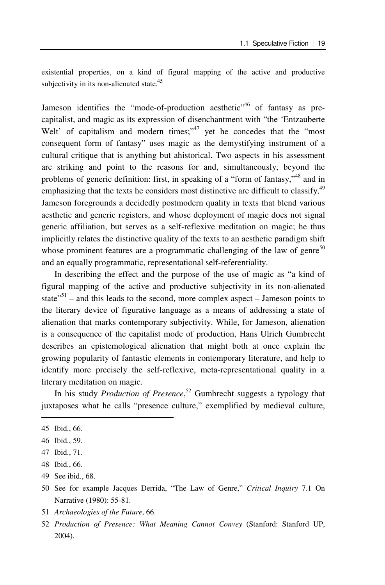existential properties, on a kind of figural mapping of the active and productive subjectivity in its non-alienated state.<sup>45</sup>

Jameson identifies the "mode-of-production aesthetic"<sup>46</sup> of fantasy as precapitalist, and magic as its expression of disenchantment with "the 'Entzauberte Welt' of capitalism and modern times;<sup>"47</sup> yet he concedes that the "most" consequent form of fantasy" uses magic as the demystifying instrument of a cultural critique that is anything but ahistorical. Two aspects in his assessment are striking and point to the reasons for and, simultaneously, beyond the problems of generic definition: first, in speaking of a "form of fantasy,"48 and in emphasizing that the texts he considers most distinctive are difficult to classify.<sup>49</sup> Jameson foregrounds a decidedly postmodern quality in texts that blend various aesthetic and generic registers, and whose deployment of magic does not signal generic affiliation, but serves as a self-reflexive meditation on magic; he thus implicitly relates the distinctive quality of the texts to an aesthetic paradigm shift whose prominent features are a programmatic challenging of the law of genre<sup>50</sup> and an equally programmatic, representational self-referentiality.

In describing the effect and the purpose of the use of magic as "a kind of figural mapping of the active and productive subjectivity in its non-alienated state"<sup>51</sup> – and this leads to the second, more complex aspect – Jameson points to the literary device of figurative language as a means of addressing a state of alienation that marks contemporary subjectivity. While, for Jameson, alienation is a consequence of the capitalist mode of production, Hans Ulrich Gumbrecht describes an epistemological alienation that might both at once explain the growing popularity of fantastic elements in contemporary literature, and help to identify more precisely the self-reflexive, meta-representational quality in a literary meditation on magic.

In his study *Production of Presence*, 52 Gumbrecht suggests a typology that juxtaposes what he calls "presence culture," exemplified by medieval culture,

 $\overline{a}$ 

51 *Archaeologies of the Future*, 66.

<sup>45</sup> Ibid., 66.

<sup>46</sup> Ibid., 59.

<sup>47</sup> Ibid., 71.

<sup>48</sup> Ibid., 66.

<sup>49</sup> See ibid., 68.

<sup>50</sup> See for example Jacques Derrida, "The Law of Genre," *Critical Inquiry* 7.1 On Narrative (1980): 55-81.

<sup>52</sup> *Production of Presence: What Meaning Cannot Convey* (Stanford: Stanford UP, 2004).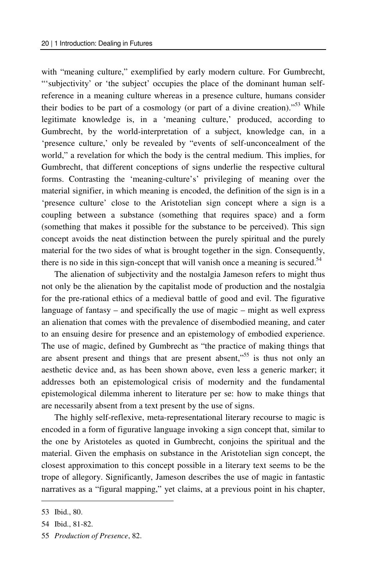with "meaning culture," exemplified by early modern culture. For Gumbrecht, "'subjectivity' or 'the subject' occupies the place of the dominant human selfreference in a meaning culture whereas in a presence culture, humans consider their bodies to be part of a cosmology (or part of a divine creation). $153$  While legitimate knowledge is, in a 'meaning culture,' produced, according to Gumbrecht, by the world-interpretation of a subject, knowledge can, in a 'presence culture,' only be revealed by "events of self-unconcealment of the world," a revelation for which the body is the central medium. This implies, for Gumbrecht, that different conceptions of signs underlie the respective cultural forms. Contrasting the 'meaning-culture's' privileging of meaning over the material signifier, in which meaning is encoded, the definition of the sign is in a 'presence culture' close to the Aristotelian sign concept where a sign is a coupling between a substance (something that requires space) and a form (something that makes it possible for the substance to be perceived). This sign concept avoids the neat distinction between the purely spiritual and the purely material for the two sides of what is brought together in the sign. Consequently, there is no side in this sign-concept that will vanish once a meaning is secured.<sup>54</sup>

The alienation of subjectivity and the nostalgia Jameson refers to might thus not only be the alienation by the capitalist mode of production and the nostalgia for the pre-rational ethics of a medieval battle of good and evil. The figurative language of fantasy – and specifically the use of magic – might as well express an alienation that comes with the prevalence of disembodied meaning, and cater to an ensuing desire for presence and an epistemology of embodied experience. The use of magic, defined by Gumbrecht as "the practice of making things that are absent present and things that are present absent,"<sup>55</sup> is thus not only an aesthetic device and, as has been shown above, even less a generic marker; it addresses both an epistemological crisis of modernity and the fundamental epistemological dilemma inherent to literature per se: how to make things that are necessarily absent from a text present by the use of signs.

The highly self-reflexive, meta-representational literary recourse to magic is encoded in a form of figurative language invoking a sign concept that, similar to the one by Aristoteles as quoted in Gumbrecht, conjoins the spiritual and the material. Given the emphasis on substance in the Aristotelian sign concept, the closest approximation to this concept possible in a literary text seems to be the trope of allegory. Significantly, Jameson describes the use of magic in fantastic narratives as a "figural mapping," yet claims, at a previous point in his chapter,

<sup>53</sup> Ibid., 80.

<sup>54</sup> Ibid., 81-82.

<sup>55</sup> *Production of Presence*, 82.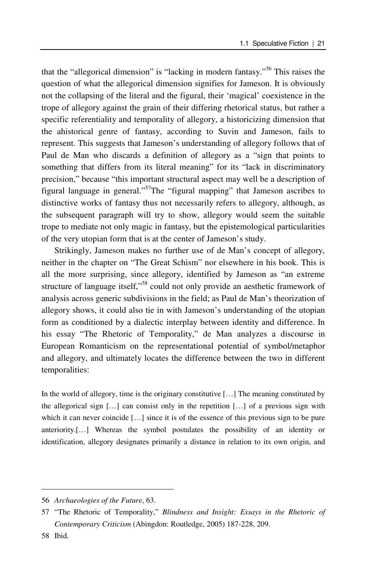that the "allegorical dimension" is "lacking in modern fantasy."56 This raises the question of what the allegorical dimension signifies for Jameson. It is obviously not the collapsing of the literal and the figural, their 'magical' coexistence in the trope of allegory against the grain of their differing rhetorical status, but rather a specific referentiality and temporality of allegory, a historicizing dimension that the ahistorical genre of fantasy, according to Suvin and Jameson, fails to represent. This suggests that Jameson's understanding of allegory follows that of Paul de Man who discards a definition of allegory as a "sign that points to something that differs from its literal meaning" for its "lack in discriminatory precision," because "this important structural aspect may well be a description of figural language in general."57The "figural mapping" that Jameson ascribes to distinctive works of fantasy thus not necessarily refers to allegory, although, as the subsequent paragraph will try to show, allegory would seem the suitable trope to mediate not only magic in fantasy, but the epistemological particularities of the very utopian form that is at the center of Jameson's study.

Strikingly, Jameson makes no further use of de Man's concept of allegory, neither in the chapter on "The Great Schism" nor elsewhere in his book. This is all the more surprising, since allegory, identified by Jameson as "an extreme structure of language itself,"58 could not only provide an aesthetic framework of analysis across generic subdivisions in the field; as Paul de Man's theorization of allegory shows, it could also tie in with Jameson's understanding of the utopian form as conditioned by a dialectic interplay between identity and difference. In his essay "The Rhetoric of Temporality," de Man analyzes a discourse in European Romanticism on the representational potential of symbol/metaphor and allegory, and ultimately locates the difference between the two in different temporalities:

In the world of allegory, time is the originary constitutive […] The meaning constituted by the allegorical sign […] can consist only in the repetition […] of a previous sign with which it can never coincide [...] since it is of the essence of this previous sign to be pure anteriority.[…] Whereas the symbol postulates the possibility of an identity or identification, allegory designates primarily a distance in relation to its own origin, and

<sup>56</sup> *Archaeologies of the Future*, 63.

<sup>57 &</sup>quot;The Rhetoric of Temporality," *Blindness and Insight: Essays in the Rhetoric of Contemporary Criticism* (Abingdon: Routledge, 2005) 187-228, 209.

<sup>58</sup> Ibid.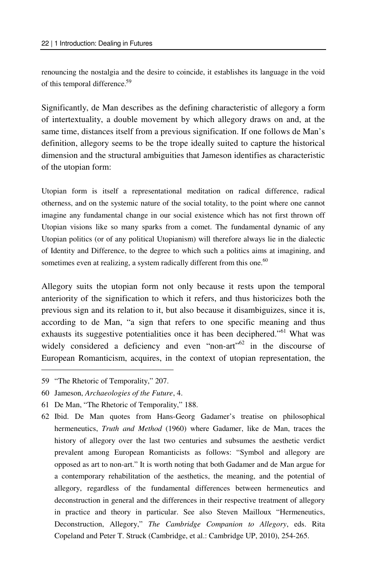renouncing the nostalgia and the desire to coincide, it establishes its language in the void of this temporal difference.59

Significantly, de Man describes as the defining characteristic of allegory a form of intertextuality, a double movement by which allegory draws on and, at the same time, distances itself from a previous signification. If one follows de Man's definition, allegory seems to be the trope ideally suited to capture the historical dimension and the structural ambiguities that Jameson identifies as characteristic of the utopian form:

Utopian form is itself a representational meditation on radical difference, radical otherness, and on the systemic nature of the social totality, to the point where one cannot imagine any fundamental change in our social existence which has not first thrown off Utopian visions like so many sparks from a comet. The fundamental dynamic of any Utopian politics (or of any political Utopianism) will therefore always lie in the dialectic of Identity and Difference, to the degree to which such a politics aims at imagining, and sometimes even at realizing, a system radically different from this one.<sup>60</sup>

Allegory suits the utopian form not only because it rests upon the temporal anteriority of the signification to which it refers, and thus historicizes both the previous sign and its relation to it, but also because it disambiguizes, since it is, according to de Man, "a sign that refers to one specific meaning and thus exhausts its suggestive potentialities once it has been deciphered."<sup>61</sup> What was widely considered a deficiency and even "non-art"<sup>62</sup> in the discourse of European Romanticism, acquires, in the context of utopian representation, the

59 "The Rhetoric of Temporality," 207.

 $\overline{\phantom{0}}$ 

- 60 Jameson, *Archaeologies of the Future*, 4.
- 61 De Man, "The Rhetoric of Temporality," 188.
- 62 Ibid. De Man quotes from Hans-Georg Gadamer's treatise on philosophical hermeneutics, *Truth and Method* (1960) where Gadamer, like de Man, traces the history of allegory over the last two centuries and subsumes the aesthetic verdict prevalent among European Romanticists as follows: "Symbol and allegory are opposed as art to non-art." It is worth noting that both Gadamer and de Man argue for a contemporary rehabilitation of the aesthetics, the meaning, and the potential of allegory, regardless of the fundamental differences between hermeneutics and deconstruction in general and the differences in their respective treatment of allegory in practice and theory in particular. See also Steven Mailloux "Hermeneutics, Deconstruction, Allegory," *The Cambridge Companion to Allegory*, eds. Rita Copeland and Peter T. Struck (Cambridge, et al.: Cambridge UP, 2010), 254-265.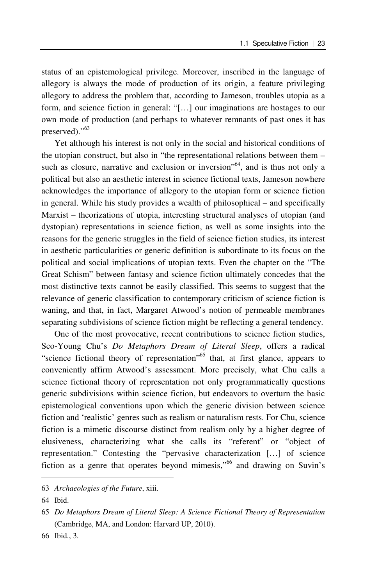status of an epistemological privilege. Moreover, inscribed in the language of allegory is always the mode of production of its origin, a feature privileging allegory to address the problem that, according to Jameson, troubles utopia as a form, and science fiction in general: "[…] our imaginations are hostages to our own mode of production (and perhaps to whatever remnants of past ones it has preserved)."<sup>63</sup>

Yet although his interest is not only in the social and historical conditions of the utopian construct, but also in "the representational relations between them – such as closure, narrative and exclusion or inversion<sup>564</sup>, and is thus not only a political but also an aesthetic interest in science fictional texts, Jameson nowhere acknowledges the importance of allegory to the utopian form or science fiction in general. While his study provides a wealth of philosophical – and specifically Marxist – theorizations of utopia, interesting structural analyses of utopian (and dystopian) representations in science fiction, as well as some insights into the reasons for the generic struggles in the field of science fiction studies, its interest in aesthetic particularities or generic definition is subordinate to its focus on the political and social implications of utopian texts. Even the chapter on the "The Great Schism" between fantasy and science fiction ultimately concedes that the most distinctive texts cannot be easily classified. This seems to suggest that the relevance of generic classification to contemporary criticism of science fiction is waning, and that, in fact, Margaret Atwood's notion of permeable membranes separating subdivisions of science fiction might be reflecting a general tendency.

One of the most provocative, recent contributions to science fiction studies, Seo-Young Chu's *Do Metaphors Dream of Literal Sleep*, offers a radical "science fictional theory of representation"<sup>65</sup> that, at first glance, appears to conveniently affirm Atwood's assessment. More precisely, what Chu calls a science fictional theory of representation not only programmatically questions generic subdivisions within science fiction, but endeavors to overturn the basic epistemological conventions upon which the generic division between science fiction and 'realistic' genres such as realism or naturalism rests. For Chu, science fiction is a mimetic discourse distinct from realism only by a higher degree of elusiveness, characterizing what she calls its "referent" or "object of representation." Contesting the "pervasive characterization […] of science fiction as a genre that operates beyond mimesis,"66 and drawing on Suvin's

<sup>63</sup> *Archaeologies of the Future*, xiii.

<sup>64</sup> Ibid.

<sup>65</sup> *Do Metaphors Dream of Literal Sleep: A Science Fictional Theory of Representation* (Cambridge, MA, and London: Harvard UP, 2010).

<sup>66</sup> Ibid., 3.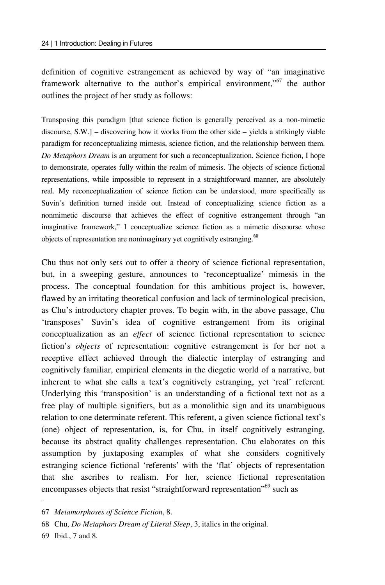definition of cognitive estrangement as achieved by way of "an imaginative framework alternative to the author's empirical environment,"<sup>67</sup> the author outlines the project of her study as follows:

Transposing this paradigm [that science fiction is generally perceived as a non-mimetic discourse, S.W.] – discovering how it works from the other side – yields a strikingly viable paradigm for reconceptualizing mimesis, science fiction, and the relationship between them. *Do Metaphors Dream* is an argument for such a reconceptualization. Science fiction, I hope to demonstrate, operates fully within the realm of mimesis. The objects of science fictional representations, while impossible to represent in a straightforward manner, are absolutely real. My reconceptualization of science fiction can be understood, more specifically as Suvin's definition turned inside out. Instead of conceptualizing science fiction as a nonmimetic discourse that achieves the effect of cognitive estrangement through "an imaginative framework," I conceptualize science fiction as a mimetic discourse whose objects of representation are nonimaginary yet cognitively estranging.<sup>68</sup>

Chu thus not only sets out to offer a theory of science fictional representation, but, in a sweeping gesture, announces to 'reconceptualize' mimesis in the process. The conceptual foundation for this ambitious project is, however, flawed by an irritating theoretical confusion and lack of terminological precision, as Chu's introductory chapter proves. To begin with, in the above passage, Chu 'transposes' Suvin's idea of cognitive estrangement from its original conceptualization as an *effect* of science fictional representation to science fiction's *objects* of representation: cognitive estrangement is for her not a receptive effect achieved through the dialectic interplay of estranging and cognitively familiar, empirical elements in the diegetic world of a narrative, but inherent to what she calls a text's cognitively estranging, yet 'real' referent. Underlying this 'transposition' is an understanding of a fictional text not as a free play of multiple signifiers, but as a monolithic sign and its unambiguous relation to one determinate referent. This referent, a given science fictional text's (one) object of representation, is, for Chu, in itself cognitively estranging, because its abstract quality challenges representation. Chu elaborates on this assumption by juxtaposing examples of what she considers cognitively estranging science fictional 'referents' with the 'flat' objects of representation that she ascribes to realism. For her, science fictional representation encompasses objects that resist "straightforward representation"<sup>69</sup> such as

<sup>67</sup> *Metamorphoses of Science Fiction*, 8.

<sup>68</sup> Chu, *Do Metaphors Dream of Literal Sleep*, 3, italics in the original.

<sup>69</sup> Ibid., 7 and 8.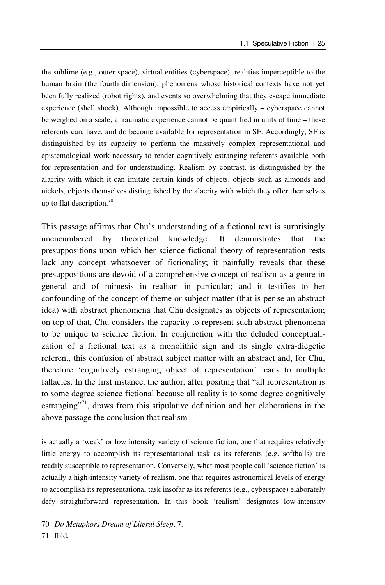the sublime (e.g., outer space), virtual entities (cyberspace), realities imperceptible to the human brain (the fourth dimension), phenomena whose historical contexts have not yet been fully realized (robot rights), and events so overwhelming that they escape immediate experience (shell shock). Although impossible to access empirically – cyberspace cannot be weighed on a scale; a traumatic experience cannot be quantified in units of time – these referents can, have, and do become available for representation in SF. Accordingly, SF is distinguished by its capacity to perform the massively complex representational and epistemological work necessary to render cognitively estranging referents available both for representation and for understanding. Realism by contrast, is distinguished by the alacrity with which it can imitate certain kinds of objects, objects such as almonds and nickels, objects themselves distinguished by the alacrity with which they offer themselves up to flat description.<sup>70</sup>

This passage affirms that Chu's understanding of a fictional text is surprisingly unencumbered by theoretical knowledge. It demonstrates that the presuppositions upon which her science fictional theory of representation rests lack any concept whatsoever of fictionality; it painfully reveals that these presuppositions are devoid of a comprehensive concept of realism as a genre in general and of mimesis in realism in particular; and it testifies to her confounding of the concept of theme or subject matter (that is per se an abstract idea) with abstract phenomena that Chu designates as objects of representation; on top of that, Chu considers the capacity to represent such abstract phenomena to be unique to science fiction. In conjunction with the deluded conceptualization of a fictional text as a monolithic sign and its single extra-diegetic referent, this confusion of abstract subject matter with an abstract and, for Chu, therefore 'cognitively estranging object of representation' leads to multiple fallacies. In the first instance, the author, after positing that "all representation is to some degree science fictional because all reality is to some degree cognitively estranging"<sup>71</sup>, draws from this stipulative definition and her elaborations in the above passage the conclusion that realism

is actually a 'weak' or low intensity variety of science fiction, one that requires relatively little energy to accomplish its representational task as its referents (e.g. softballs) are readily susceptible to representation. Conversely, what most people call 'science fiction' is actually a high-intensity variety of realism, one that requires astronomical levels of energy to accomplish its representational task insofar as its referents (e.g., cyberspace) elaborately defy straightforward representation. In this book 'realism' designates low-intensity

<sup>70</sup> *Do Metaphors Dream of Literal Sleep*, 7.

<sup>71</sup> Ibid.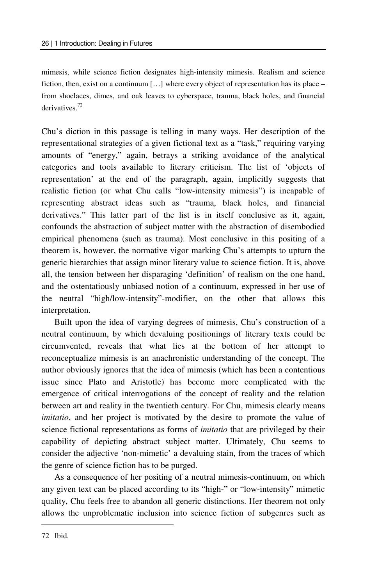mimesis, while science fiction designates high-intensity mimesis. Realism and science fiction, then, exist on a continuum […] where every object of representation has its place – from shoelaces, dimes, and oak leaves to cyberspace, trauma, black holes, and financial derivatives.<sup>72</sup>

Chu's diction in this passage is telling in many ways. Her description of the representational strategies of a given fictional text as a "task," requiring varying amounts of "energy," again, betrays a striking avoidance of the analytical categories and tools available to literary criticism. The list of 'objects of representation' at the end of the paragraph, again, implicitly suggests that realistic fiction (or what Chu calls "low-intensity mimesis") is incapable of representing abstract ideas such as "trauma, black holes, and financial derivatives." This latter part of the list is in itself conclusive as it, again, confounds the abstraction of subject matter with the abstraction of disembodied empirical phenomena (such as trauma). Most conclusive in this positing of a theorem is, however, the normative vigor marking Chu's attempts to upturn the generic hierarchies that assign minor literary value to science fiction. It is, above all, the tension between her disparaging 'definition' of realism on the one hand, and the ostentatiously unbiased notion of a continuum, expressed in her use of the neutral "high/low-intensity"-modifier, on the other that allows this interpretation.

Built upon the idea of varying degrees of mimesis, Chu's construction of a neutral continuum, by which devaluing positionings of literary texts could be circumvented, reveals that what lies at the bottom of her attempt to reconceptualize mimesis is an anachronistic understanding of the concept. The author obviously ignores that the idea of mimesis (which has been a contentious issue since Plato and Aristotle) has become more complicated with the emergence of critical interrogations of the concept of reality and the relation between art and reality in the twentieth century. For Chu, mimesis clearly means *imitatio*, and her project is motivated by the desire to promote the value of science fictional representations as forms of *imitatio* that are privileged by their capability of depicting abstract subject matter. Ultimately, Chu seems to consider the adjective 'non-mimetic' a devaluing stain, from the traces of which the genre of science fiction has to be purged.

As a consequence of her positing of a neutral mimesis-continuum, on which any given text can be placed according to its "high-" or "low-intensity" mimetic quality, Chu feels free to abandon all generic distinctions. Her theorem not only allows the unproblematic inclusion into science fiction of subgenres such as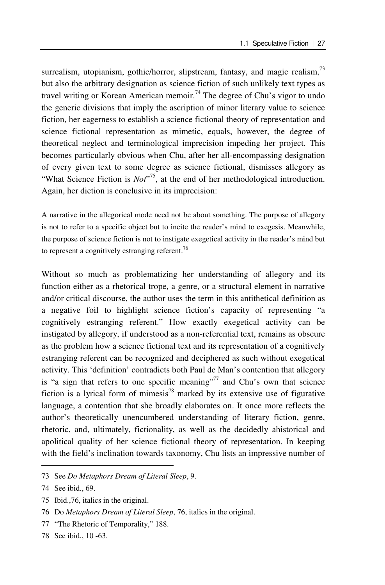surrealism, utopianism, gothic/horror, slipstream, fantasy, and magic realism,<sup>73</sup> but also the arbitrary designation as science fiction of such unlikely text types as travel writing or Korean American memoir.<sup>74</sup> The degree of Chu's vigor to undo the generic divisions that imply the ascription of minor literary value to science fiction, her eagerness to establish a science fictional theory of representation and science fictional representation as mimetic, equals, however, the degree of theoretical neglect and terminological imprecision impeding her project. This becomes particularly obvious when Chu, after her all-encompassing designation of every given text to some degree as science fictional, dismisses allegory as "What Science Fiction is *Not*"<sup>75</sup>, at the end of her methodological introduction. Again, her diction is conclusive in its imprecision:

A narrative in the allegorical mode need not be about something. The purpose of allegory is not to refer to a specific object but to incite the reader's mind to exegesis. Meanwhile, the purpose of science fiction is not to instigate exegetical activity in the reader's mind but to represent a cognitively estranging referent.<sup>76</sup>

Without so much as problematizing her understanding of allegory and its function either as a rhetorical trope, a genre, or a structural element in narrative and/or critical discourse, the author uses the term in this antithetical definition as a negative foil to highlight science fiction's capacity of representing "a cognitively estranging referent." How exactly exegetical activity can be instigated by allegory, if understood as a non-referential text, remains as obscure as the problem how a science fictional text and its representation of a cognitively estranging referent can be recognized and deciphered as such without exegetical activity. This 'definition' contradicts both Paul de Man's contention that allegory is "a sign that refers to one specific meaning"<sup>77</sup> and Chu's own that science fiction is a lyrical form of mimesis<sup>78</sup> marked by its extensive use of figurative language, a contention that she broadly elaborates on. It once more reflects the author's theoretically unencumbered understanding of literary fiction, genre, rhetoric, and, ultimately, fictionality, as well as the decidedly ahistorical and apolitical quality of her science fictional theory of representation. In keeping with the field's inclination towards taxonomy, Chu lists an impressive number of

<sup>73</sup> See *Do Metaphors Dream of Literal Sleep*, 9.

<sup>74</sup> See ibid., 69.

<sup>75</sup> Ibid.,76, italics in the original.

<sup>76</sup> Do *Metaphors Dream of Literal Sleep*, 76, italics in the original.

<sup>77 &</sup>quot;The Rhetoric of Temporality," 188.

<sup>78</sup> See ibid., 10 -63.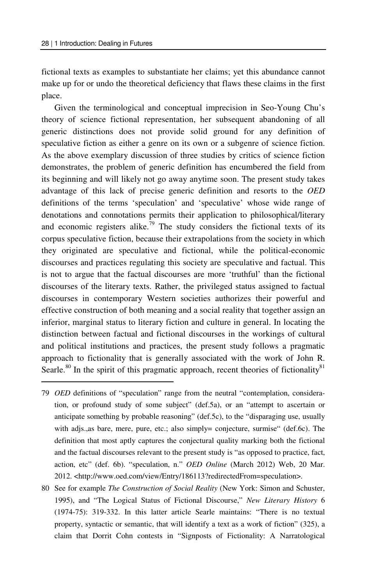$\overline{a}$ 

fictional texts as examples to substantiate her claims; yet this abundance cannot make up for or undo the theoretical deficiency that flaws these claims in the first place.

Given the terminological and conceptual imprecision in Seo-Young Chu's theory of science fictional representation, her subsequent abandoning of all generic distinctions does not provide solid ground for any definition of speculative fiction as either a genre on its own or a subgenre of science fiction. As the above exemplary discussion of three studies by critics of science fiction demonstrates, the problem of generic definition has encumbered the field from its beginning and will likely not go away anytime soon. The present study takes advantage of this lack of precise generic definition and resorts to the *OED* definitions of the terms 'speculation' and 'speculative' whose wide range of denotations and connotations permits their application to philosophical/literary and economic registers alike.<sup>79</sup> The study considers the fictional texts of its corpus speculative fiction, because their extrapolations from the society in which they originated are speculative and fictional, while the political-economic discourses and practices regulating this society are speculative and factual. This is not to argue that the factual discourses are more 'truthful' than the fictional discourses of the literary texts. Rather, the privileged status assigned to factual discourses in contemporary Western societies authorizes their powerful and effective construction of both meaning and a social reality that together assign an inferior, marginal status to literary fiction and culture in general. In locating the distinction between factual and fictional discourses in the workings of cultural and political institutions and practices, the present study follows a pragmatic approach to fictionality that is generally associated with the work of John R. Searle.<sup>80</sup> In the spirit of this pragmatic approach, recent theories of fictionality<sup>81</sup>

<sup>79</sup> *OED* definitions of "speculation" range from the neutral "contemplation, consideration, or profound study of some subject" (def.5a), or an "attempt to ascertain or anticipate something by probable reasoning" (def.5c), to the "disparaging use, usually with adjs.,as bare, mere, pure, etc.; also simply= conjecture, surmise" (def.6c). The definition that most aptly captures the conjectural quality marking both the fictional and the factual discourses relevant to the present study is "as opposed to practice, fact, action, etc" (def. 6b). "speculation, n." *OED Online* (March 2012) Web, 20 Mar. 2012. <http://www.oed.com/view/Entry/186113?redirectedFrom=speculation>.

<sup>80</sup> See for example *The Construction of Social Reality* (New York: Simon and Schuster, 1995), and "The Logical Status of Fictional Discourse," *New Literary History* 6 (1974-75): 319-332. In this latter article Searle maintains: "There is no textual property, syntactic or semantic, that will identify a text as a work of fiction" (325), a claim that Dorrit Cohn contests in "Signposts of Fictionality: A Narratological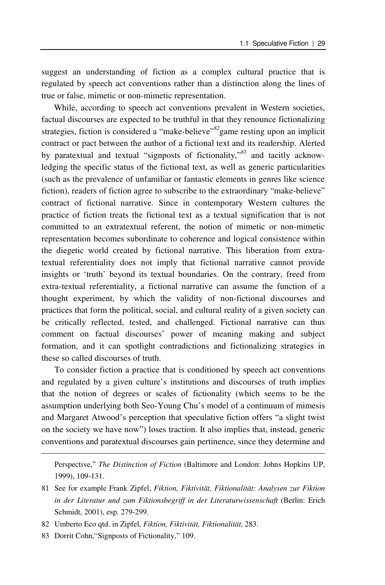suggest an understanding of fiction as a complex cultural practice that is regulated by speech act conventions rather than a distinction along the lines of true or false, mimetic or non-mimetic representation.

While, according to speech act conventions prevalent in Western societies, factual discourses are expected to be truthful in that they renounce fictionalizing strategies, fiction is considered a "make-believe"<sup>82</sup>game resting upon an implicit contract or pact between the author of a fictional text and its readership. Alerted by paratextual and textual "signposts of fictionality,"<sup>83</sup> and tacitly acknowledging the specific status of the fictional text, as well as generic particularities (such as the prevalence of unfamiliar or fantastic elements in genres like science fiction), readers of fiction agree to subscribe to the extraordinary "make-believe" contract of fictional narrative. Since in contemporary Western cultures the practice of fiction treats the fictional text as a textual signification that is not committed to an extratextual referent, the notion of mimetic or non-mimetic representation becomes subordinate to coherence and logical consistence within the diegetic world created by fictional narrative. This liberation from extratextual referentiality does not imply that fictional narrative cannot provide insights or 'truth' beyond its textual boundaries. On the contrary, freed from extra-textual referentiality, a fictional narrative can assume the function of a thought experiment, by which the validity of non-fictional discourses and practices that form the political, social, and cultural reality of a given society can be critically reflected, tested, and challenged. Fictional narrative can thus comment on factual discourses' power of meaning making and subject formation, and it can spotlight contradictions and fictionalizing strategies in these so called discourses of truth.

To consider fiction a practice that is conditioned by speech act conventions and regulated by a given culture's institutions and discourses of truth implies that the notion of degrees or scales of fictionality (which seems to be the assumption underlying both Seo-Young Chu's model of a continuum of mimesis and Margaret Atwood's perception that speculative fiction offers "a slight twist on the society we have now") loses traction. It also implies that, instead, generic conventions and paratextual discourses gain pertinence, since they determine and

Perspective," *The Distinction of Fiction* (Baltimore and London: Johns Hopkins UP, 1999), 109-131.

81 See for example Frank Zipfel, *Fiktion, Fiktivität, Fiktionalität: Analysen zur Fiktion in der Literatur und zum Fiktionsbegriff in der Literaturwissenschaft* (Berlin: Erich Schmidt, 2001), esp. 279-299.

83 Dorrit Cohn,"Signposts of Fictionality," 109.

<sup>82</sup> Umberto Eco qtd. in Zipfel, *Fiktion, Fiktivität, Fiktionalität*, 283.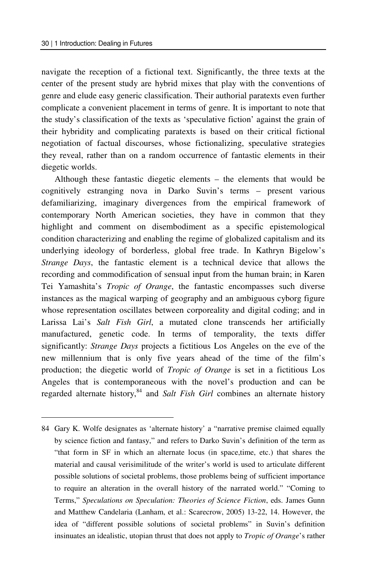$\overline{a}$ 

navigate the reception of a fictional text. Significantly, the three texts at the center of the present study are hybrid mixes that play with the conventions of genre and elude easy generic classification. Their authorial paratexts even further complicate a convenient placement in terms of genre. It is important to note that the study's classification of the texts as 'speculative fiction' against the grain of their hybridity and complicating paratexts is based on their critical fictional negotiation of factual discourses, whose fictionalizing, speculative strategies they reveal, rather than on a random occurrence of fantastic elements in their diegetic worlds.

Although these fantastic diegetic elements – the elements that would be cognitively estranging nova in Darko Suvin's terms – present various defamiliarizing, imaginary divergences from the empirical framework of contemporary North American societies, they have in common that they highlight and comment on disembodiment as a specific epistemological condition characterizing and enabling the regime of globalized capitalism and its underlying ideology of borderless, global free trade. In Kathryn Bigelow's *Strange Days*, the fantastic element is a technical device that allows the recording and commodification of sensual input from the human brain; in Karen Tei Yamashita's *Tropic of Orange*, the fantastic encompasses such diverse instances as the magical warping of geography and an ambiguous cyborg figure whose representation oscillates between corporeality and digital coding; and in Larissa Lai's *Salt Fish Girl*, a mutated clone transcends her artificially manufactured, genetic code. In terms of temporality, the texts differ significantly: *Strange Days* projects a fictitious Los Angeles on the eve of the new millennium that is only five years ahead of the time of the film's production; the diegetic world of *Tropic of Orange* is set in a fictitious Los Angeles that is contemporaneous with the novel's production and can be regarded alternate history,<sup>84</sup> and *Salt Fish Girl* combines an alternate history

<sup>84</sup> Gary K. Wolfe designates as 'alternate history' a "narrative premise claimed equally by science fiction and fantasy," and refers to Darko Suvin's definition of the term as "that form in SF in which an alternate locus (in space,time, etc.) that shares the material and causal verisimilitude of the writer's world is used to articulate different possible solutions of societal problems, those problems being of sufficient importance to require an alteration in the overall history of the narrated world." "Coming to Terms," *Speculations on Speculation: Theories of Science Fiction*, eds. James Gunn and Matthew Candelaria (Lanham, et al.: Scarecrow, 2005) 13-22, 14. However, the idea of "different possible solutions of societal problems" in Suvin's definition insinuates an idealistic, utopian thrust that does not apply to *Tropic of Orange*'s rather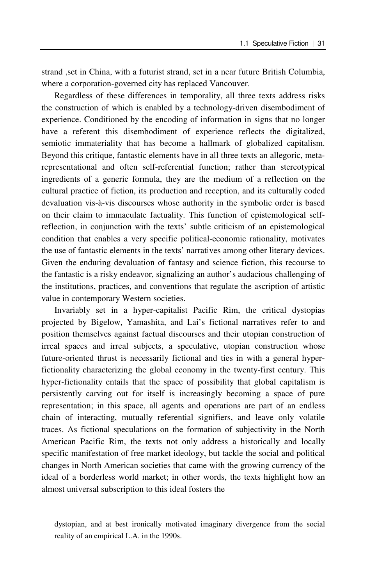strand ,set in China, with a futurist strand, set in a near future British Columbia, where a corporation-governed city has replaced Vancouver.

Regardless of these differences in temporality, all three texts address risks the construction of which is enabled by a technology-driven disembodiment of experience. Conditioned by the encoding of information in signs that no longer have a referent this disembodiment of experience reflects the digitalized, semiotic immateriality that has become a hallmark of globalized capitalism. Beyond this critique, fantastic elements have in all three texts an allegoric, metarepresentational and often self-referential function; rather than stereotypical ingredients of a generic formula, they are the medium of a reflection on the cultural practice of fiction, its production and reception, and its culturally coded devaluation vis-à-vis discourses whose authority in the symbolic order is based on their claim to immaculate factuality. This function of epistemological selfreflection, in conjunction with the texts' subtle criticism of an epistemological condition that enables a very specific political-economic rationality, motivates the use of fantastic elements in the texts' narratives among other literary devices. Given the enduring devaluation of fantasy and science fiction, this recourse to the fantastic is a risky endeavor, signalizing an author's audacious challenging of the institutions, practices, and conventions that regulate the ascription of artistic value in contemporary Western societies.

Invariably set in a hyper-capitalist Pacific Rim, the critical dystopias projected by Bigelow, Yamashita, and Lai's fictional narratives refer to and position themselves against factual discourses and their utopian construction of irreal spaces and irreal subjects, a speculative, utopian construction whose future-oriented thrust is necessarily fictional and ties in with a general hyperfictionality characterizing the global economy in the twenty-first century. This hyper-fictionality entails that the space of possibility that global capitalism is persistently carving out for itself is increasingly becoming a space of pure representation; in this space, all agents and operations are part of an endless chain of interacting, mutually referential signifiers, and leave only volatile traces. As fictional speculations on the formation of subjectivity in the North American Pacific Rim, the texts not only address a historically and locally specific manifestation of free market ideology, but tackle the social and political changes in North American societies that came with the growing currency of the ideal of a borderless world market; in other words, the texts highlight how an almost universal subscription to this ideal fosters the

dystopian, and at best ironically motivated imaginary divergence from the social reality of an empirical L.A. in the 1990s.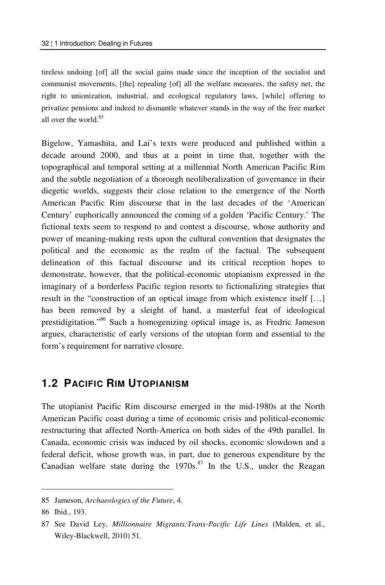tireless undoing [of] all the social gains made since the inception of the socialist and communist movements, [the] repealing [of] all the welfare measures, the safety net, the right to unionization, industrial, and ecological regulatory laws, [while] offering to privatize pensions and indeed to dismantle whatever stands in the way of the free market all over the world.<sup>85</sup>

Bigelow, Yamashita, and Lai's texts were produced and published within a decade around 2000, and thus at a point in time that, together with the topographical and temporal setting at a millennial North American Pacific Rim and the subtle negotiation of a thorough neoliberalization of governance in their diegetic worlds, suggests their close relation to the emergence of the North American Pacific Rim discourse that in the last decades of the 'American Century' euphorically announced the coming of a golden 'Pacific Century.' The fictional texts seem to respond to and contest a discourse, whose authority and power of meaning-making rests upon the cultural convention that designates the political and the economic as the realm of the factual. The subsequent delineation of this factual discourse and its critical reception hopes to demonstrate, however, that the political-economic utopianism expressed in the imaginary of a borderless Pacific region resorts to fictionalizing strategies that result in the "construction of an optical image from which existence itself […] has been removed by a sleight of hand, a masterful feat of ideological prestidigitation."86 Such a homogenizing optical image is, as Fredric Jameson argues, characteristic of early versions of the utopian form and essential to the form's requirement for narrative closure.

## **1.2 PACIFIC RIM UTOPIANISM**

The utopianist Pacific Rim discourse emerged in the mid-1980s at the North American Pacific coast during a time of economic crisis and political-economic restructuring that affected North-America on both sides of the 49th parallel. In Canada, economic crisis was induced by oil shocks, economic slowdown and a federal deficit, whose growth was, in part, due to generous expenditure by the Canadian welfare state during the  $1970s$ .<sup>87</sup> In the U.S., under the Reagan

<sup>85</sup> Jameson, *Archaeologies of the Future*, 4.

<sup>86</sup> Ibid., 193.

<sup>87</sup> See David Ley, *Millionnaire Migrants:Trans-Pacific Life Lines* (Malden, et al., Wiley-Blackwell, 2010) 51.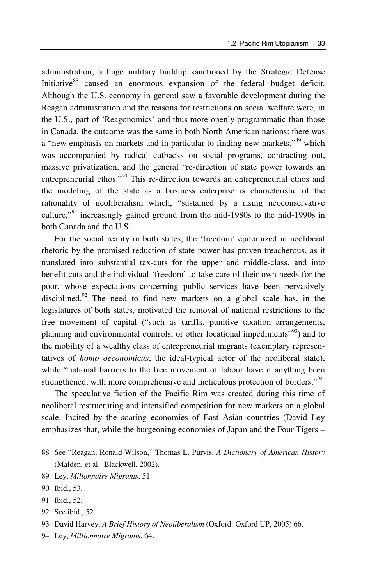administration, a huge military buildup sanctioned by the Strategic Defense Initiative<sup>88</sup> caused an enormous expansion of the federal budget deficit. Although the U.S. economy in general saw a favorable development during the Reagan administration and the reasons for restrictions on social welfare were, in the U.S., part of 'Reagonomics' and thus more openly programmatic than those in Canada, the outcome was the same in both North American nations: there was a "new emphasis on markets and in particular to finding new markets,"89 which was accompanied by radical cutbacks on social programs, contracting out, massive privatization, and the general "re-direction of state power towards an entrepreneurial ethos."90 This re-direction towards an entrepreneurial ethos and the modeling of the state as a business enterprise is characteristic of the rationality of neoliberalism which, "sustained by a rising neoconservative culture,"91 increasingly gained ground from the mid-1980s to the mid-1990s in both Canada and the U.S.

For the social reality in both states, the 'freedom' epitomized in neoliberal rhetoric by the promised reduction of state power has proven treacherous, as it translated into substantial tax-cuts for the upper and middle-class, and into benefit cuts and the individual 'freedom' to take care of their own needs for the poor, whose expectations concerning public services have been pervasively disciplined.<sup>92</sup> The need to find new markets on a global scale has, in the legislatures of both states, motivated the removal of national restrictions to the free movement of capital ("such as tariffs, punitive taxation arrangements, planning and environmental controls, or other locational impediments<sup>"93</sup>) and to the mobility of a wealthy class of entrepreneurial migrants (exemplary representatives of *homo oeconomicus*, the ideal-typical actor of the neoliberal state), while "national barriers to the free movement of labour have if anything been strengthened, with more comprehensive and meticulous protection of borders."94

The speculative fiction of the Pacific Rim was created during this time of neoliberal restructuring and intensified competition for new markets on a global scale. Incited by the soaring economies of East Asian countries (David Ley emphasizes that, while the burgeoning economies of Japan and the Four Tigers –

 $\overline{a}$ 

92 See ibid., 52.

<sup>88</sup> See "Reagan, Ronald Wilson," Thomas L. Purvis, *A Dictionary of American History* (Malden, et al.: Blackwell, 2002).

<sup>89</sup> Ley, *Millonnaire Migrants*, 51.

<sup>90</sup> Ibid., 53.

<sup>91</sup> Ibid., 52.

<sup>93</sup> David Harvey, *A Brief History of Neoliberalism* (Oxford: Oxford UP, 2005) 66.

<sup>94</sup> Ley, *Millionnaire Migrants*, 64.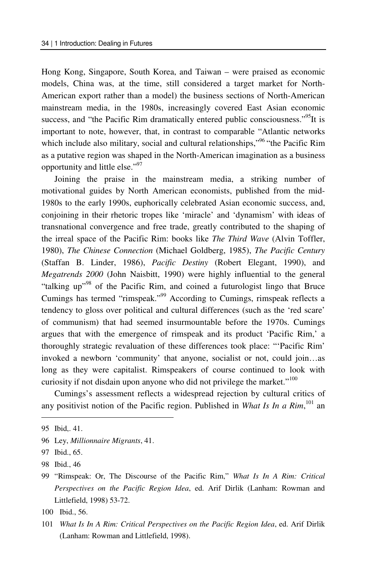Hong Kong, Singapore, South Korea, and Taiwan – were praised as economic models, China was, at the time, still considered a target market for North-American export rather than a model) the business sections of North-American mainstream media, in the 1980s, increasingly covered East Asian economic success, and "the Pacific Rim dramatically entered public consciousness."<sup>95</sup>It is important to note, however, that, in contrast to comparable "Atlantic networks which include also military, social and cultural relationships,"<sup>96</sup> "the Pacific Rim as a putative region was shaped in the North-American imagination as a business opportunity and little else."97

Joining the praise in the mainstream media, a striking number of motivational guides by North American economists, published from the mid-1980s to the early 1990s, euphorically celebrated Asian economic success, and, conjoining in their rhetoric tropes like 'miracle' and 'dynamism' with ideas of transnational convergence and free trade, greatly contributed to the shaping of the irreal space of the Pacific Rim: books like *The Third Wave* (Alvin Toffler, 1980), *The Chinese Connection* (Michael Goldberg, 1985), *The Pacific Century* (Staffan B. Linder, 1986), *Pacific Destiny* (Robert Elegant, 1990), and *Megatrends 2000* (John Naisbitt, 1990) were highly influential to the general "talking up"<sup>98</sup> of the Pacific Rim, and coined a futurologist lingo that Bruce Cumings has termed "rimspeak."99 According to Cumings, rimspeak reflects a tendency to gloss over political and cultural differences (such as the 'red scare' of communism) that had seemed insurmountable before the 1970s. Cumings argues that with the emergence of rimspeak and its product 'Pacific Rim,' a thoroughly strategic revaluation of these differences took place: "'Pacific Rim' invoked a newborn 'community' that anyone, socialist or not, could join…as long as they were capitalist. Rimspeakers of course continued to look with curiosity if not disdain upon anyone who did not privilege the market."<sup>100</sup>

Cumings's assessment reflects a widespread rejection by cultural critics of any positivist notion of the Pacific region. Published in *What Is In a Rim*,<sup>101</sup> an

<sup>95</sup> Ibid,. 41.

<sup>96</sup> Ley, *Millionnaire Migrants*, 41.

<sup>97</sup> Ibid., 65.

<sup>98</sup> Ibid., 46

<sup>99 &</sup>quot;Rimspeak: Or, The Discourse of the Pacific Rim," *What Is In A Rim: Critical Perspectives on the Pacific Region Idea*, ed. Arif Dirlik (Lanham: Rowman and Littlefield, 1998) 53-72.

<sup>100</sup> Ibid., 56.

<sup>101</sup> *What Is In A Rim: Critical Perspectives on the Pacific Region Idea*, ed. Arif Dirlik (Lanham: Rowman and Littlefield, 1998).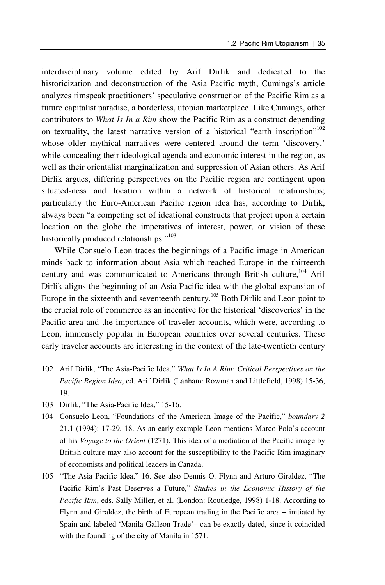interdisciplinary volume edited by Arif Dirlik and dedicated to the historicization and deconstruction of the Asia Pacific myth, Cumings's article analyzes rimspeak practitioners' speculative construction of the Pacific Rim as a future capitalist paradise, a borderless, utopian marketplace. Like Cumings, other contributors to *What Is In a Rim* show the Pacific Rim as a construct depending on textuality, the latest narrative version of a historical "earth inscription"<sup>102</sup> whose older mythical narratives were centered around the term 'discovery,' while concealing their ideological agenda and economic interest in the region, as well as their orientalist marginalization and suppression of Asian others. As Arif Dirlik argues, differing perspectives on the Pacific region are contingent upon situated-ness and location within a network of historical relationships; particularly the Euro-American Pacific region idea has, according to Dirlik, always been "a competing set of ideational constructs that project upon a certain location on the globe the imperatives of interest, power, or vision of these historically produced relationships."<sup>103</sup>

While Consuelo Leon traces the beginnings of a Pacific image in American minds back to information about Asia which reached Europe in the thirteenth century and was communicated to Americans through British culture,<sup>104</sup> Arif Dirlik aligns the beginning of an Asia Pacific idea with the global expansion of Europe in the sixteenth and seventeenth century.<sup>105</sup> Both Dirlik and Leon point to the crucial role of commerce as an incentive for the historical 'discoveries' in the Pacific area and the importance of traveler accounts, which were, according to Leon, immensely popular in European countries over several centuries. These early traveler accounts are interesting in the context of the late-twentieth century

- 102 Arif Dirlik, "The Asia-Pacific Idea," *What Is In A Rim: Critical Perspectives on the Pacific Region Idea*, ed. Arif Dirlik (Lanham: Rowman and Littlefield, 1998) 15-36, 19.
- 103 Dirlik, "The Asia-Pacific Idea," 15-16.

- 104 Consuelo Leon, "Foundations of the American Image of the Pacific," *boundary 2* 21.1 (1994): 17-29, 18. As an early example Leon mentions Marco Polo's account of his *Voyage to the Orient* (1271). This idea of a mediation of the Pacific image by British culture may also account for the susceptibility to the Pacific Rim imaginary of economists and political leaders in Canada.
- 105 "The Asia Pacific Idea," 16. See also Dennis O. Flynn and Arturo Giraldez, "The Pacific Rim's Past Deserves a Future," *Studies in the Economic History of the Pacific Rim*, eds. Sally Miller, et al. (London: Routledge, 1998) 1-18. According to Flynn and Giraldez, the birth of European trading in the Pacific area – initiated by Spain and labeled 'Manila Galleon Trade'– can be exactly dated, since it coincided with the founding of the city of Manila in 1571.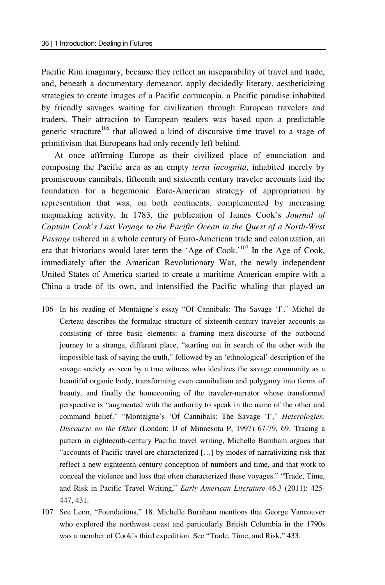$\overline{a}$ 

Pacific Rim imaginary, because they reflect an inseparability of travel and trade, and, beneath a documentary demeanor, apply decidedly literary, aestheticizing strategies to create images of a Pacific cornucopia, a Pacific paradise inhabited by friendly savages waiting for civilization through European travelers and traders. Their attraction to European readers was based upon a predictable generic structure<sup>106</sup> that allowed a kind of discursive time travel to a stage of primitivism that Europeans had only recently left behind.

At once affirming Europe as their civilized place of enunciation and composing the Pacific area as an empty *terra incognita*, inhabited merely by promiscuous cannibals, fifteenth and sixteenth century traveler accounts laid the foundation for a hegemonic Euro-American strategy of appropriation by representation that was, on both continents, complemented by increasing mapmaking activity. In 1783, the publication of James Cook's *Journal of Captain Cook's Last Voyage to the Pacific Ocean in the Quest of a North-West Passage* ushered in a whole century of Euro-American trade and colonization, an era that historians would later term the 'Age of Cook.'107 In the Age of Cook, immediately after the American Revolutionary War, the newly independent United States of America started to create a maritime American empire with a China a trade of its own, and intensified the Pacific whaling that played an

- 106 In his reading of Montaigne's essay "Of Cannibals: The Savage 'I'," Michel de Certeau describes the formulaic structure of sixteenth-century traveler accounts as consisting of three basic elements: a framing meta-discourse of the outbound journey to a strange, different place, "starting out in search of the other with the impossible task of saying the truth," followed by an 'ethnological' description of the savage society as seen by a true witness who idealizes the savage community as a beautiful organic body, transforming even cannibalism and polygamy into forms of beauty, and finally the homecoming of the traveler-narrator whose transformed perspective is "augmented with the authority to speak in the name of the other and command belief." "Montaigne's 'Of Cannibals: The Savage 'I'," *Heterologies: Discourse on the Other* (London: U of Minnesota P, 1997) 67-79, 69. Tracing a pattern in eighteenth-century Pacific travel writing, Michelle Burnham argues that "accounts of Pacific travel are characterized […] by modes of narrativizing risk that reflect a new eighteenth-century conception of numbers and time, and that work to conceal the violence and loss that often characterized these voyages." "Trade, Time, and Risk in Pacific Travel Writing," *Early American Literature* 46.3 (2011): 425- 447, 431.
- 107 See Leon, "Foundations," 18. Michelle Burnham mentions that George Vancouver who explored the northwest coast and particularly British Columbia in the 1790s was a member of Cook's third expedition. See "Trade, Time, and Risk," 433.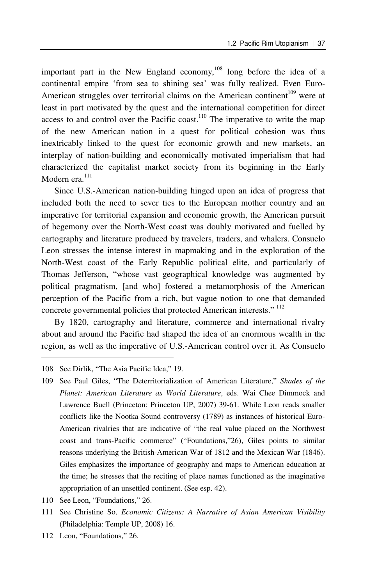important part in the New England economy,<sup>108</sup> long before the idea of a continental empire 'from sea to shining sea' was fully realized. Even Euro-American struggles over territorial claims on the American continent<sup>109</sup> were at least in part motivated by the quest and the international competition for direct access to and control over the Pacific coast.<sup>110</sup> The imperative to write the map of the new American nation in a quest for political cohesion was thus inextricably linked to the quest for economic growth and new markets, an interplay of nation-building and economically motivated imperialism that had characterized the capitalist market society from its beginning in the Early Modern era.<sup>111</sup>

Since U.S.-American nation-building hinged upon an idea of progress that included both the need to sever ties to the European mother country and an imperative for territorial expansion and economic growth, the American pursuit of hegemony over the North-West coast was doubly motivated and fuelled by cartography and literature produced by travelers, traders, and whalers. Consuelo Leon stresses the intense interest in mapmaking and in the exploration of the North-West coast of the Early Republic political elite, and particularly of Thomas Jefferson, "whose vast geographical knowledge was augmented by political pragmatism, [and who] fostered a metamorphosis of the American perception of the Pacific from a rich, but vague notion to one that demanded concrete governmental policies that protected American interests." 112

By 1820, cartography and literature, commerce and international rivalry about and around the Pacific had shaped the idea of an enormous wealth in the region, as well as the imperative of U.S.-American control over it. As Consuelo

- 110 See Leon, "Foundations," 26.
- 111 See Christine So, *Economic Citizens: A Narrative of Asian American Visibility* (Philadelphia: Temple UP, 2008) 16.
- 112 Leon, "Foundations," 26.

<sup>108</sup> See Dirlik, "The Asia Pacific Idea," 19.

<sup>109</sup> See Paul Giles, "The Deterritorialization of American Literature," *Shades of the Planet: American Literature as World Literature*, eds. Wai Chee Dimmock and Lawrence Buell (Princeton: Princeton UP, 2007) 39-61. While Leon reads smaller conflicts like the Nootka Sound controversy (1789) as instances of historical Euro-American rivalries that are indicative of "the real value placed on the Northwest coast and trans-Pacific commerce" ("Foundations,"26), Giles points to similar reasons underlying the British-American War of 1812 and the Mexican War (1846). Giles emphasizes the importance of geography and maps to American education at the time; he stresses that the reciting of place names functioned as the imaginative appropriation of an unsettled continent. (See esp. 42).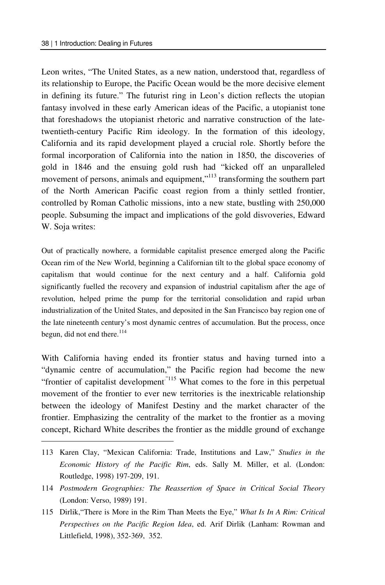$\overline{a}$ 

Leon writes, "The United States, as a new nation, understood that, regardless of its relationship to Europe, the Pacific Ocean would be the more decisive element in defining its future." The futurist ring in Leon's diction reflects the utopian fantasy involved in these early American ideas of the Pacific, a utopianist tone that foreshadows the utopianist rhetoric and narrative construction of the latetwentieth-century Pacific Rim ideology. In the formation of this ideology, California and its rapid development played a crucial role. Shortly before the formal incorporation of California into the nation in 1850, the discoveries of gold in 1846 and the ensuing gold rush had "kicked off an unparalleled movement of persons, animals and equipment,"<sup>113</sup> transforming the southern part of the North American Pacific coast region from a thinly settled frontier, controlled by Roman Catholic missions, into a new state, bustling with 250,000 people. Subsuming the impact and implications of the gold disvoveries, Edward W. Soja writes:

Out of practically nowhere, a formidable capitalist presence emerged along the Pacific Ocean rim of the New World, beginning a Californian tilt to the global space economy of capitalism that would continue for the next century and a half. California gold significantly fuelled the recovery and expansion of industrial capitalism after the age of revolution, helped prime the pump for the territorial consolidation and rapid urban industrialization of the United States, and deposited in the San Francisco bay region one of the late nineteenth century's most dynamic centres of accumulation. But the process, once begun, did not end there. $^{114}$ 

With California having ended its frontier status and having turned into a "dynamic centre of accumulation," the Pacific region had become the new "frontier of capitalist development<sup>"115</sup> What comes to the fore in this perpetual movement of the frontier to ever new territories is the inextricable relationship between the ideology of Manifest Destiny and the market character of the frontier. Emphasizing the centrality of the market to the frontier as a moving concept, Richard White describes the frontier as the middle ground of exchange

<sup>113</sup> Karen Clay, "Mexican California: Trade, Institutions and Law," *Studies in the Economic History of the Pacific Rim*, eds. Sally M. Miller, et al. (London: Routledge, 1998) 197-209, 191.

<sup>114</sup> *Postmodern Geographies: The Reassertion of Space in Critical Social Theory* (London: Verso, 1989) 191.

<sup>115</sup> Dirlik,"There is More in the Rim Than Meets the Eye," *What Is In A Rim: Critical Perspectives on the Pacific Region Idea*, ed. Arif Dirlik (Lanham: Rowman and Littlefield, 1998), 352-369, 352.